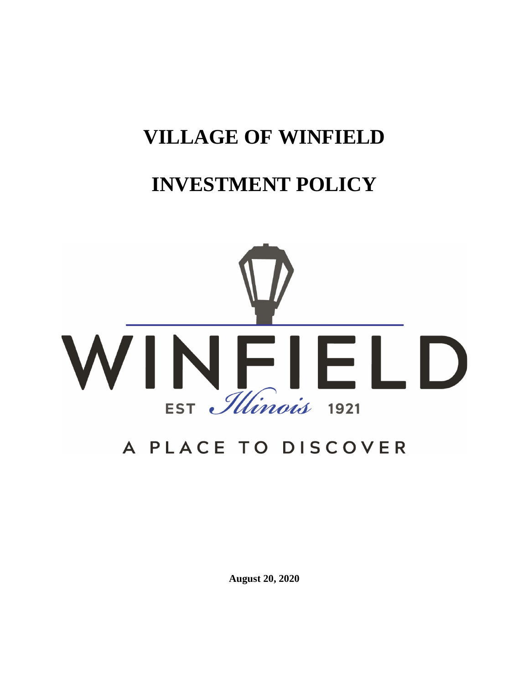# **VILLAGE OF WINFIELD**

# **INVESTMENT POLICY**



# A PLACE TO DISCOVER

**August 20, 2020**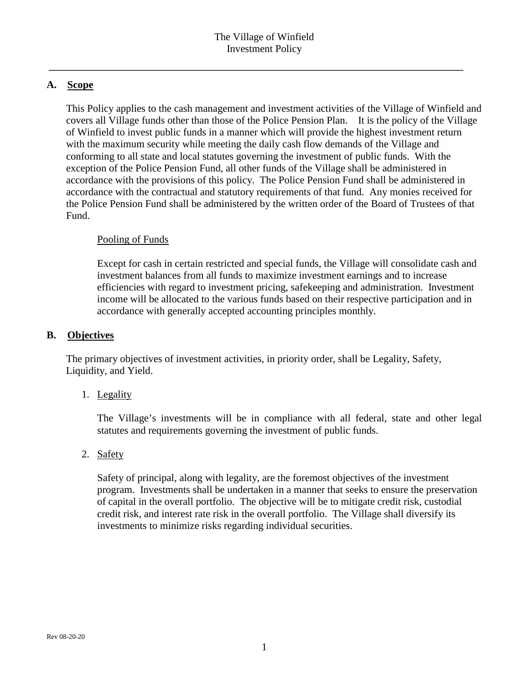# **A. Scope**

This Policy applies to the cash management and investment activities of the Village of Winfield and covers all Village funds other than those of the Police Pension Plan. It is the policy of the Village of Winfield to invest public funds in a manner which will provide the highest investment return with the maximum security while meeting the daily cash flow demands of the Village and conforming to all state and local statutes governing the investment of public funds. With the exception of the Police Pension Fund, all other funds of the Village shall be administered in accordance with the provisions of this policy. The Police Pension Fund shall be administered in accordance with the contractual and statutory requirements of that fund. Any monies received for the Police Pension Fund shall be administered by the written order of the Board of Trustees of that Fund.

## Pooling of Funds

Except for cash in certain restricted and special funds, the Village will consolidate cash and investment balances from all funds to maximize investment earnings and to increase efficiencies with regard to investment pricing, safekeeping and administration. Investment income will be allocated to the various funds based on their respective participation and in accordance with generally accepted accounting principles monthly.

## **B. Objectives**

The primary objectives of investment activities, in priority order, shall be Legality, Safety, Liquidity, and Yield.

1. Legality

The Village's investments will be in compliance with all federal, state and other legal statutes and requirements governing the investment of public funds.

2. Safety

Safety of principal, along with legality, are the foremost objectives of the investment program. Investments shall be undertaken in a manner that seeks to ensure the preservation of capital in the overall portfolio. The objective will be to mitigate credit risk, custodial credit risk, and interest rate risk in the overall portfolio. The Village shall diversify its investments to minimize risks regarding individual securities.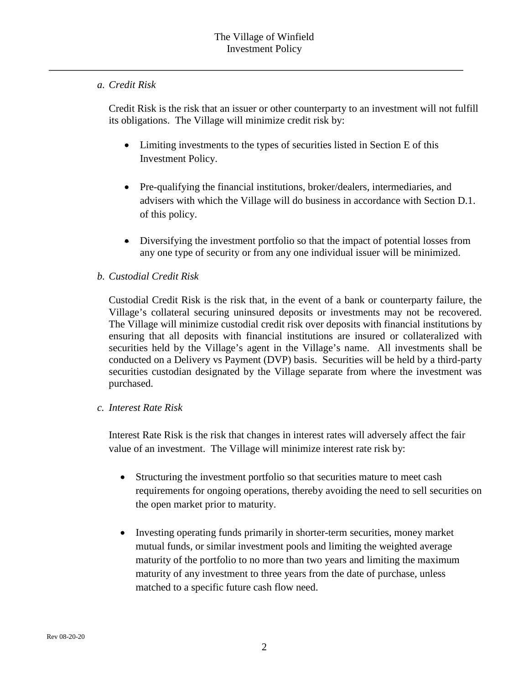## *a. Credit Risk*

Credit Risk is the risk that an issuer or other counterparty to an investment will not fulfill its obligations. The Village will minimize credit risk by:

- Limiting investments to the types of securities listed in Section E of this Investment Policy.
- Pre-qualifying the financial institutions, broker/dealers, intermediaries, and advisers with which the Village will do business in accordance with Section D.1. of this policy.
- Diversifying the investment portfolio so that the impact of potential losses from any one type of security or from any one individual issuer will be minimized.

## *b. Custodial Credit Risk*

Custodial Credit Risk is the risk that, in the event of a bank or counterparty failure, the Village's collateral securing uninsured deposits or investments may not be recovered. The Village will minimize custodial credit risk over deposits with financial institutions by ensuring that all deposits with financial institutions are insured or collateralized with securities held by the Village's agent in the Village's name. All investments shall be conducted on a Delivery vs Payment (DVP) basis. Securities will be held by a third-party securities custodian designated by the Village separate from where the investment was purchased.

## *c. Interest Rate Risk*

Interest Rate Risk is the risk that changes in interest rates will adversely affect the fair value of an investment. The Village will minimize interest rate risk by:

- Structuring the investment portfolio so that securities mature to meet cash requirements for ongoing operations, thereby avoiding the need to sell securities on the open market prior to maturity.
- Investing operating funds primarily in shorter-term securities, money market mutual funds, or similar investment pools and limiting the weighted average maturity of the portfolio to no more than two years and limiting the maximum maturity of any investment to three years from the date of purchase, unless matched to a specific future cash flow need.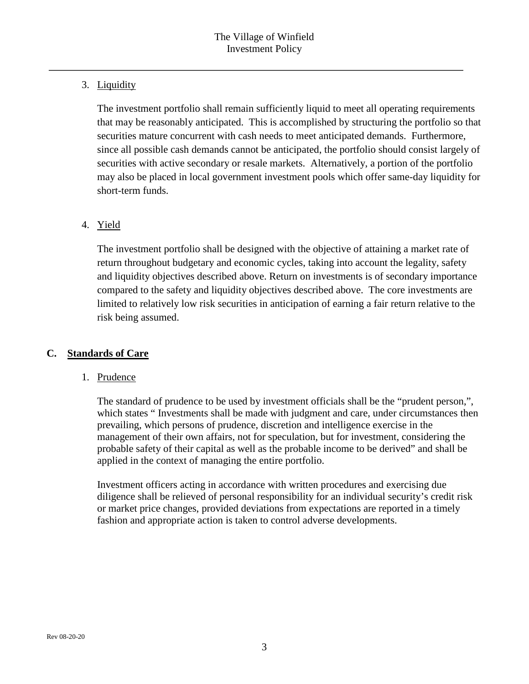# 3. Liquidity

The investment portfolio shall remain sufficiently liquid to meet all operating requirements that may be reasonably anticipated. This is accomplished by structuring the portfolio so that securities mature concurrent with cash needs to meet anticipated demands. Furthermore, since all possible cash demands cannot be anticipated, the portfolio should consist largely of securities with active secondary or resale markets. Alternatively, a portion of the portfolio may also be placed in local government investment pools which offer same-day liquidity for short-term funds.

# 4. Yield

The investment portfolio shall be designed with the objective of attaining a market rate of return throughout budgetary and economic cycles, taking into account the legality, safety and liquidity objectives described above. Return on investments is of secondary importance compared to the safety and liquidity objectives described above. The core investments are limited to relatively low risk securities in anticipation of earning a fair return relative to the risk being assumed.

# **C. Standards of Care**

# 1. Prudence

The standard of prudence to be used by investment officials shall be the "prudent person,", which states " Investments shall be made with judgment and care, under circumstances then prevailing, which persons of prudence, discretion and intelligence exercise in the management of their own affairs, not for speculation, but for investment, considering the probable safety of their capital as well as the probable income to be derived" and shall be applied in the context of managing the entire portfolio.

Investment officers acting in accordance with written procedures and exercising due diligence shall be relieved of personal responsibility for an individual security's credit risk or market price changes, provided deviations from expectations are reported in a timely fashion and appropriate action is taken to control adverse developments.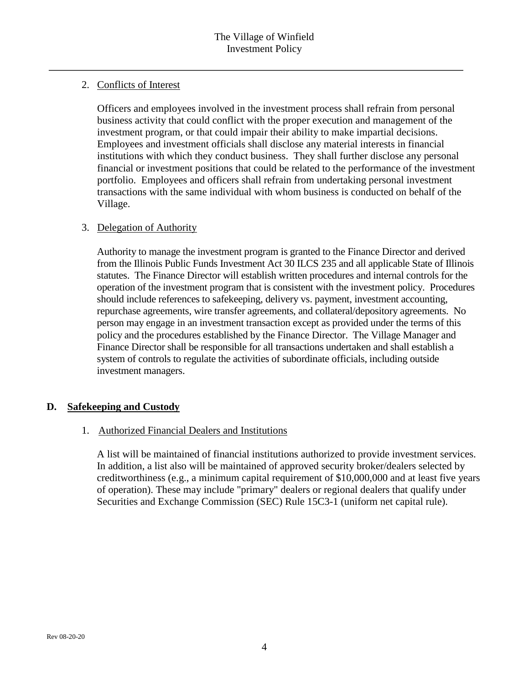## 2. Conflicts of Interest

Officers and employees involved in the investment process shall refrain from personal business activity that could conflict with the proper execution and management of the investment program, or that could impair their ability to make impartial decisions. Employees and investment officials shall disclose any material interests in financial institutions with which they conduct business. They shall further disclose any personal financial or investment positions that could be related to the performance of the investment portfolio. Employees and officers shall refrain from undertaking personal investment transactions with the same individual with whom business is conducted on behalf of the Village.

## 3. Delegation of Authority

Authority to manage the investment program is granted to the Finance Director and derived from the Illinois Public Funds Investment Act 30 ILCS 235 and all applicable State of Illinois statutes. The Finance Director will establish written procedures and internal controls for the operation of the investment program that is consistent with the investment policy. Procedures should include references to safekeeping, delivery vs. payment, investment accounting, repurchase agreements, wire transfer agreements, and collateral/depository agreements. No person may engage in an investment transaction except as provided under the terms of this policy and the procedures established by the Finance Director. The Village Manager and Finance Director shall be responsible for all transactions undertaken and shall establish a system of controls to regulate the activities of subordinate officials, including outside investment managers.

## **D. Safekeeping and Custody**

## 1. Authorized Financial Dealers and Institutions

A list will be maintained of financial institutions authorized to provide investment services. In addition, a list also will be maintained of approved security broker/dealers selected by creditworthiness (e.g., a minimum capital requirement of \$10,000,000 and at least five years of operation). These may include "primary" dealers or regional dealers that qualify under Securities and Exchange Commission (SEC) Rule 15C3-1 (uniform net capital rule).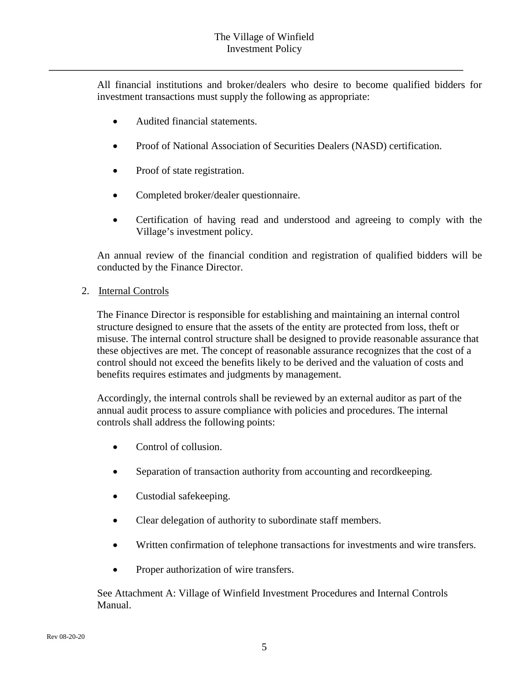All financial institutions and broker/dealers who desire to become qualified bidders for investment transactions must supply the following as appropriate:

- Audited financial statements.
- Proof of National Association of Securities Dealers (NASD) certification.
- Proof of state registration.
- Completed broker/dealer questionnaire.
- Certification of having read and understood and agreeing to comply with the Village's investment policy.

An annual review of the financial condition and registration of qualified bidders will be conducted by the Finance Director.

2. Internal Controls

The Finance Director is responsible for establishing and maintaining an internal control structure designed to ensure that the assets of the entity are protected from loss, theft or misuse. The internal control structure shall be designed to provide reasonable assurance that these objectives are met. The concept of reasonable assurance recognizes that the cost of a control should not exceed the benefits likely to be derived and the valuation of costs and benefits requires estimates and judgments by management.

Accordingly, the internal controls shall be reviewed by an external auditor as part of the annual audit process to assure compliance with policies and procedures. The internal controls shall address the following points:

- Control of collusion.
- Separation of transaction authority from accounting and record keeping.
- Custodial safekeeping.
- Clear delegation of authority to subordinate staff members.
- Written confirmation of telephone transactions for investments and wire transfers.
- Proper authorization of wire transfers.

See Attachment A: Village of Winfield Investment Procedures and Internal Controls Manual.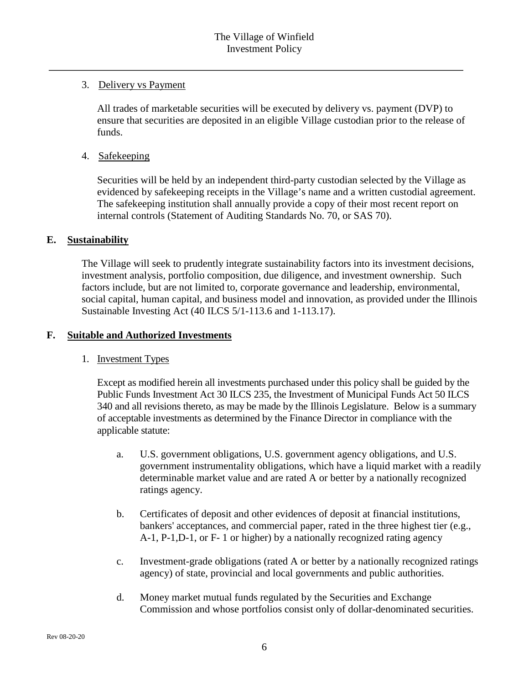## 3. Delivery vs Payment

All trades of marketable securities will be executed by delivery vs. payment (DVP) to ensure that securities are deposited in an eligible Village custodian prior to the release of funds.

## 4. Safekeeping

Securities will be held by an independent third-party custodian selected by the Village as evidenced by safekeeping receipts in the Village's name and a written custodial agreement. The safekeeping institution shall annually provide a copy of their most recent report on internal controls (Statement of Auditing Standards No. 70, or SAS 70).

## **E. Sustainability**

The Village will seek to prudently integrate sustainability factors into its investment decisions, investment analysis, portfolio composition, due diligence, and investment ownership. Such factors include, but are not limited to, corporate governance and leadership, environmental, social capital, human capital, and business model and innovation, as provided under the Illinois Sustainable Investing Act (40 ILCS 5/1-113.6 and 1-113.17).

## **F. Suitable and Authorized Investments**

## 1. Investment Types

Except as modified herein all investments purchased under this policy shall be guided by the Public Funds Investment Act 30 ILCS 235, the Investment of Municipal Funds Act 50 ILCS 340 and all revisions thereto, as may be made by the Illinois Legislature. Below is a summary of acceptable investments as determined by the Finance Director in compliance with the applicable statute:

- a. U.S. government obligations, U.S. government agency obligations, and U.S. government instrumentality obligations, which have a liquid market with a readily determinable market value and are rated A or better by a nationally recognized ratings agency.
- b. Certificates of deposit and other evidences of deposit at financial institutions, bankers' acceptances, and commercial paper, rated in the three highest tier (e.g., A-1, P-1,D-1, or F- 1 or higher) by a nationally recognized rating agency
- c. Investment-grade obligations (rated A or better by a nationally recognized ratings agency) of state, provincial and local governments and public authorities.
- d. Money market mutual funds regulated by the Securities and Exchange Commission and whose portfolios consist only of dollar-denominated securities.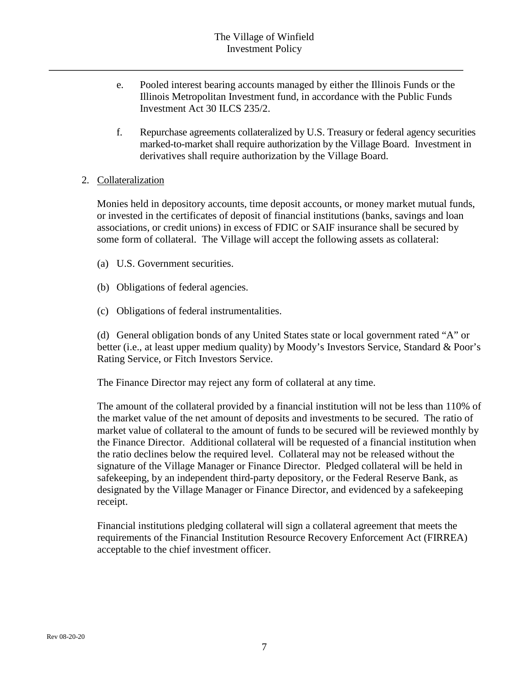- e. Pooled interest bearing accounts managed by either the Illinois Funds or the Illinois Metropolitan Investment fund, in accordance with the Public Funds Investment Act 30 ILCS 235/2.
- f. Repurchase agreements collateralized by U.S. Treasury or federal agency securities marked-to-market shall require authorization by the Village Board. Investment in derivatives shall require authorization by the Village Board.

#### 2. Collateralization

Monies held in depository accounts, time deposit accounts, or money market mutual funds, or invested in the certificates of deposit of financial institutions (banks, savings and loan associations, or credit unions) in excess of FDIC or SAIF insurance shall be secured by some form of collateral. The Village will accept the following assets as collateral:

- (a) U.S. Government securities.
- (b) Obligations of federal agencies.
- (c) Obligations of federal instrumentalities.

(d) General obligation bonds of any United States state or local government rated "A" or better (i.e., at least upper medium quality) by Moody's Investors Service, Standard & Poor's Rating Service, or Fitch Investors Service.

The Finance Director may reject any form of collateral at any time.

The amount of the collateral provided by a financial institution will not be less than 110% of the market value of the net amount of deposits and investments to be secured. The ratio of market value of collateral to the amount of funds to be secured will be reviewed monthly by the Finance Director. Additional collateral will be requested of a financial institution when the ratio declines below the required level. Collateral may not be released without the signature of the Village Manager or Finance Director. Pledged collateral will be held in safekeeping, by an independent third-party depository, or the Federal Reserve Bank, as designated by the Village Manager or Finance Director, and evidenced by a safekeeping receipt.

Financial institutions pledging collateral will sign a collateral agreement that meets the requirements of the Financial Institution Resource Recovery Enforcement Act (FIRREA) acceptable to the chief investment officer.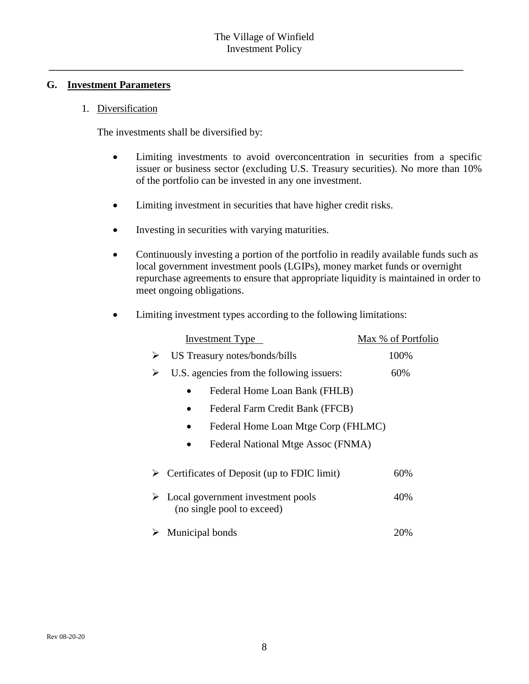#### **G. Investment Parameters**

#### 1. Diversification

The investments shall be diversified by:

- Limiting investments to avoid overconcentration in securities from a specific issuer or business sector (excluding U.S. Treasury securities). No more than 10% of the portfolio can be invested in any one investment.
- Limiting investment in securities that have higher credit risks.
- Investing in securities with varying maturities.
- Continuously investing a portion of the portfolio in readily available funds such as local government investment pools (LGIPs), money market funds or overnight repurchase agreements to ensure that appropriate liquidity is maintained in order to meet ongoing obligations.

|  |  | Limiting investment types according to the following limitations: |  |  |  |
|--|--|-------------------------------------------------------------------|--|--|--|
|--|--|-------------------------------------------------------------------|--|--|--|

|   | <b>Investment Type</b>                                                           | Max % of Portfolio |
|---|----------------------------------------------------------------------------------|--------------------|
| ➤ | US Treasury notes/bonds/bills                                                    | 100%               |
| ➤ | U.S. agencies from the following issuers:                                        | 60%                |
|   | Federal Home Loan Bank (FHLB)                                                    |                    |
|   | Federal Farm Credit Bank (FFCB)                                                  |                    |
|   | Federal Home Loan Mtge Corp (FHLMC)                                              |                    |
|   | Federal National Mtge Assoc (FNMA)                                               |                    |
|   | $\triangleright$ Certificates of Deposit (up to FDIC limit)                      | 60%                |
|   | $\triangleright$ Local government investment pools<br>(no single pool to exceed) | 40%                |
|   | Municipal bonds                                                                  | 20%                |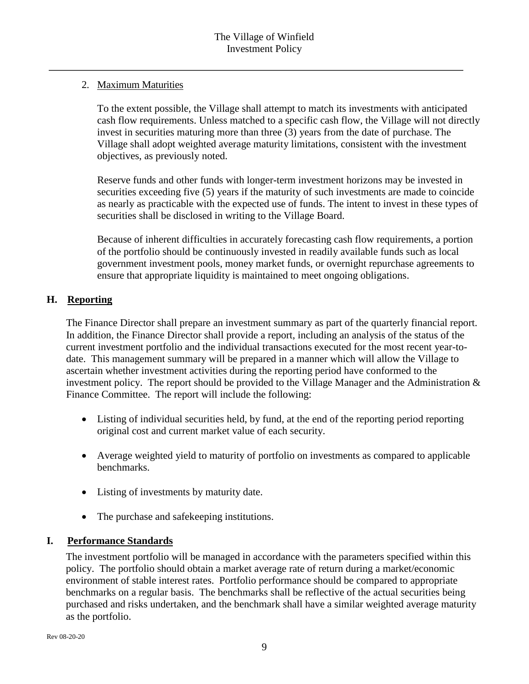## 2. Maximum Maturities

To the extent possible, the Village shall attempt to match its investments with anticipated cash flow requirements. Unless matched to a specific cash flow, the Village will not directly invest in securities maturing more than three (3) years from the date of purchase. The Village shall adopt weighted average maturity limitations, consistent with the investment objectives, as previously noted.

Reserve funds and other funds with longer-term investment horizons may be invested in securities exceeding five (5) years if the maturity of such investments are made to coincide as nearly as practicable with the expected use of funds. The intent to invest in these types of securities shall be disclosed in writing to the Village Board.

Because of inherent difficulties in accurately forecasting cash flow requirements, a portion of the portfolio should be continuously invested in readily available funds such as local government investment pools, money market funds, or overnight repurchase agreements to ensure that appropriate liquidity is maintained to meet ongoing obligations.

## **H. Reporting**

The Finance Director shall prepare an investment summary as part of the quarterly financial report. In addition, the Finance Director shall provide a report, including an analysis of the status of the current investment portfolio and the individual transactions executed for the most recent year-todate. This management summary will be prepared in a manner which will allow the Village to ascertain whether investment activities during the reporting period have conformed to the investment policy. The report should be provided to the Village Manager and the Administration  $\&$ Finance Committee. The report will include the following:

- Listing of individual securities held, by fund, at the end of the reporting period reporting original cost and current market value of each security.
- Average weighted yield to maturity of portfolio on investments as compared to applicable benchmarks.
- Listing of investments by maturity date.
- The purchase and safekeeping institutions.

# **I. Performance Standards**

The investment portfolio will be managed in accordance with the parameters specified within this policy. The portfolio should obtain a market average rate of return during a market/economic environment of stable interest rates. Portfolio performance should be compared to appropriate benchmarks on a regular basis. The benchmarks shall be reflective of the actual securities being purchased and risks undertaken, and the benchmark shall have a similar weighted average maturity as the portfolio.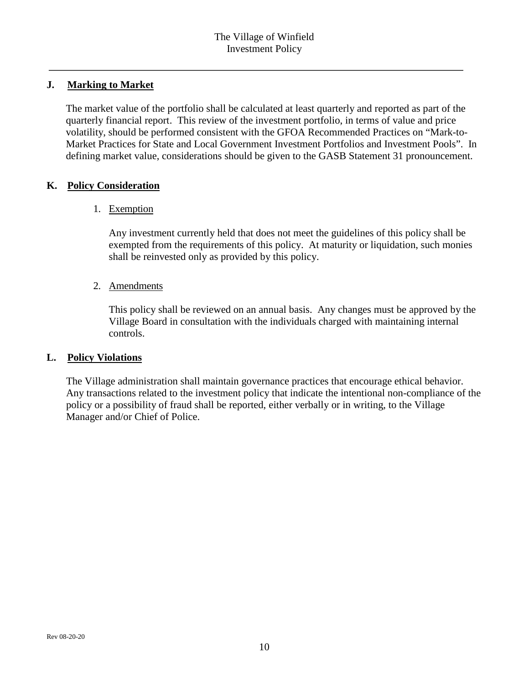## **J. Marking to Market**

The market value of the portfolio shall be calculated at least quarterly and reported as part of the quarterly financial report. This review of the investment portfolio, in terms of value and price volatility, should be performed consistent with the GFOA Recommended Practices on "Mark-to-Market Practices for State and Local Government Investment Portfolios and Investment Pools". In defining market value, considerations should be given to the GASB Statement 31 pronouncement.

## **K. Policy Consideration**

#### 1. Exemption

Any investment currently held that does not meet the guidelines of this policy shall be exempted from the requirements of this policy. At maturity or liquidation, such monies shall be reinvested only as provided by this policy.

#### 2. Amendments

This policy shall be reviewed on an annual basis. Any changes must be approved by the Village Board in consultation with the individuals charged with maintaining internal controls.

#### **L. Policy Violations**

The Village administration shall maintain governance practices that encourage ethical behavior. Any transactions related to the investment policy that indicate the intentional non-compliance of the policy or a possibility of fraud shall be reported, either verbally or in writing, to the Village Manager and/or Chief of Police.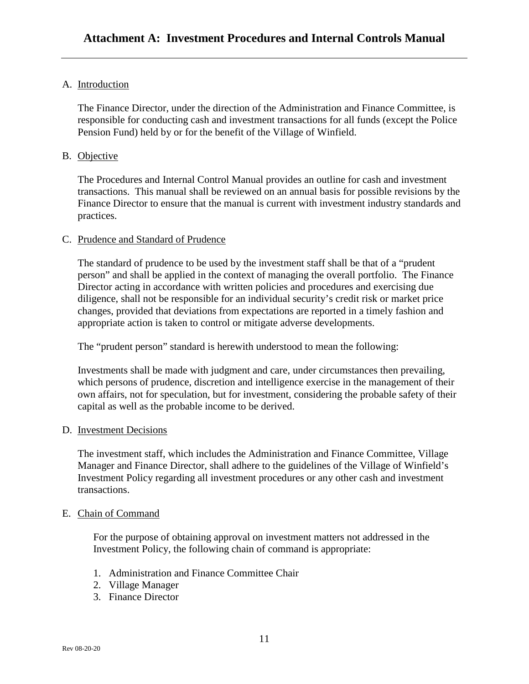#### A. Introduction

The Finance Director, under the direction of the Administration and Finance Committee, is responsible for conducting cash and investment transactions for all funds (except the Police Pension Fund) held by or for the benefit of the Village of Winfield.

#### B. Objective

The Procedures and Internal Control Manual provides an outline for cash and investment transactions. This manual shall be reviewed on an annual basis for possible revisions by the Finance Director to ensure that the manual is current with investment industry standards and practices.

#### C. Prudence and Standard of Prudence

The standard of prudence to be used by the investment staff shall be that of a "prudent person" and shall be applied in the context of managing the overall portfolio. The Finance Director acting in accordance with written policies and procedures and exercising due diligence, shall not be responsible for an individual security's credit risk or market price changes, provided that deviations from expectations are reported in a timely fashion and appropriate action is taken to control or mitigate adverse developments.

The "prudent person" standard is herewith understood to mean the following:

Investments shall be made with judgment and care, under circumstances then prevailing, which persons of prudence, discretion and intelligence exercise in the management of their own affairs, not for speculation, but for investment, considering the probable safety of their capital as well as the probable income to be derived.

#### D. Investment Decisions

The investment staff, which includes the Administration and Finance Committee, Village Manager and Finance Director, shall adhere to the guidelines of the Village of Winfield's Investment Policy regarding all investment procedures or any other cash and investment transactions.

#### E. Chain of Command

For the purpose of obtaining approval on investment matters not addressed in the Investment Policy, the following chain of command is appropriate:

- 1. Administration and Finance Committee Chair
- 2. Village Manager
- 3. Finance Director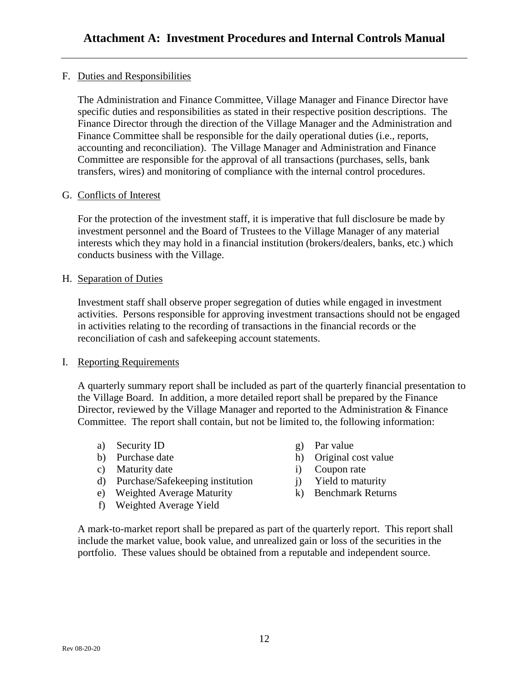## F. Duties and Responsibilities

The Administration and Finance Committee, Village Manager and Finance Director have specific duties and responsibilities as stated in their respective position descriptions. The Finance Director through the direction of the Village Manager and the Administration and Finance Committee shall be responsible for the daily operational duties (i.e., reports, accounting and reconciliation). The Village Manager and Administration and Finance Committee are responsible for the approval of all transactions (purchases, sells, bank transfers, wires) and monitoring of compliance with the internal control procedures.

#### G. Conflicts of Interest

For the protection of the investment staff, it is imperative that full disclosure be made by investment personnel and the Board of Trustees to the Village Manager of any material interests which they may hold in a financial institution (brokers/dealers, banks, etc.) which conducts business with the Village.

#### H. Separation of Duties

Investment staff shall observe proper segregation of duties while engaged in investment activities. Persons responsible for approving investment transactions should not be engaged in activities relating to the recording of transactions in the financial records or the reconciliation of cash and safekeeping account statements.

#### I. Reporting Requirements

A quarterly summary report shall be included as part of the quarterly financial presentation to the Village Board. In addition, a more detailed report shall be prepared by the Finance Director, reviewed by the Village Manager and reported to the Administration & Finance Committee. The report shall contain, but not be limited to, the following information:

- a) Security ID g) Par value
- 
- c) Maturity date i) Coupon rate
- d) Purchase/Safekeeping institution i) Yield to maturity
- e) Weighted Average Maturity (k) Benchmark Returns
- f) Weighted Average Yield
- 
- b) Purchase date h) Original cost value
	-
	-
	-

A mark-to-market report shall be prepared as part of the quarterly report. This report shall include the market value, book value, and unrealized gain or loss of the securities in the portfolio. These values should be obtained from a reputable and independent source.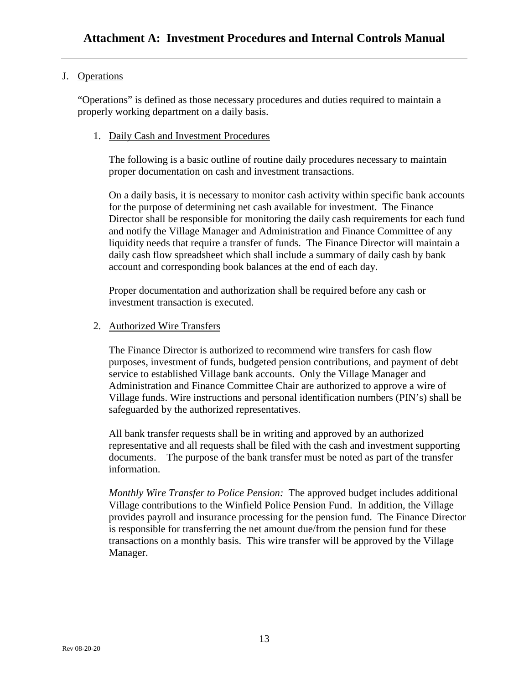## J. Operations

"Operations" is defined as those necessary procedures and duties required to maintain a properly working department on a daily basis.

#### 1. Daily Cash and Investment Procedures

The following is a basic outline of routine daily procedures necessary to maintain proper documentation on cash and investment transactions.

On a daily basis, it is necessary to monitor cash activity within specific bank accounts for the purpose of determining net cash available for investment. The Finance Director shall be responsible for monitoring the daily cash requirements for each fund and notify the Village Manager and Administration and Finance Committee of any liquidity needs that require a transfer of funds. The Finance Director will maintain a daily cash flow spreadsheet which shall include a summary of daily cash by bank account and corresponding book balances at the end of each day.

Proper documentation and authorization shall be required before any cash or investment transaction is executed.

#### 2. Authorized Wire Transfers

The Finance Director is authorized to recommend wire transfers for cash flow purposes, investment of funds, budgeted pension contributions, and payment of debt service to established Village bank accounts. Only the Village Manager and Administration and Finance Committee Chair are authorized to approve a wire of Village funds. Wire instructions and personal identification numbers (PIN's) shall be safeguarded by the authorized representatives.

All bank transfer requests shall be in writing and approved by an authorized representative and all requests shall be filed with the cash and investment supporting documents. The purpose of the bank transfer must be noted as part of the transfer information.

*Monthly Wire Transfer to Police Pension:* The approved budget includes additional Village contributions to the Winfield Police Pension Fund. In addition, the Village provides payroll and insurance processing for the pension fund. The Finance Director is responsible for transferring the net amount due/from the pension fund for these transactions on a monthly basis. This wire transfer will be approved by the Village Manager.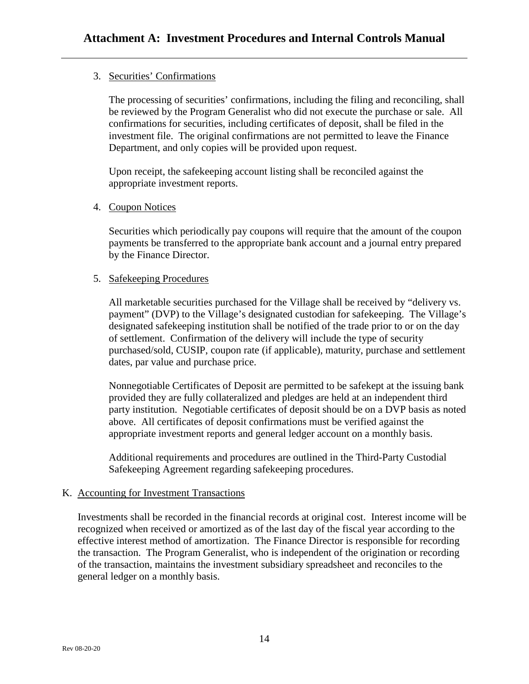## 3. Securities' Confirmations

The processing of securities' confirmations, including the filing and reconciling, shall be reviewed by the Program Generalist who did not execute the purchase or sale. All confirmations for securities, including certificates of deposit, shall be filed in the investment file. The original confirmations are not permitted to leave the Finance Department, and only copies will be provided upon request.

Upon receipt, the safekeeping account listing shall be reconciled against the appropriate investment reports.

#### 4. Coupon Notices

Securities which periodically pay coupons will require that the amount of the coupon payments be transferred to the appropriate bank account and a journal entry prepared by the Finance Director.

## 5. Safekeeping Procedures

All marketable securities purchased for the Village shall be received by "delivery vs. payment" (DVP) to the Village's designated custodian for safekeeping. The Village's designated safekeeping institution shall be notified of the trade prior to or on the day of settlement. Confirmation of the delivery will include the type of security purchased/sold, CUSIP, coupon rate (if applicable), maturity, purchase and settlement dates, par value and purchase price.

Nonnegotiable Certificates of Deposit are permitted to be safekept at the issuing bank provided they are fully collateralized and pledges are held at an independent third party institution. Negotiable certificates of deposit should be on a DVP basis as noted above. All certificates of deposit confirmations must be verified against the appropriate investment reports and general ledger account on a monthly basis.

Additional requirements and procedures are outlined in the Third-Party Custodial Safekeeping Agreement regarding safekeeping procedures.

## K. Accounting for Investment Transactions

Investments shall be recorded in the financial records at original cost. Interest income will be recognized when received or amortized as of the last day of the fiscal year according to the effective interest method of amortization. The Finance Director is responsible for recording the transaction. The Program Generalist, who is independent of the origination or recording of the transaction, maintains the investment subsidiary spreadsheet and reconciles to the general ledger on a monthly basis.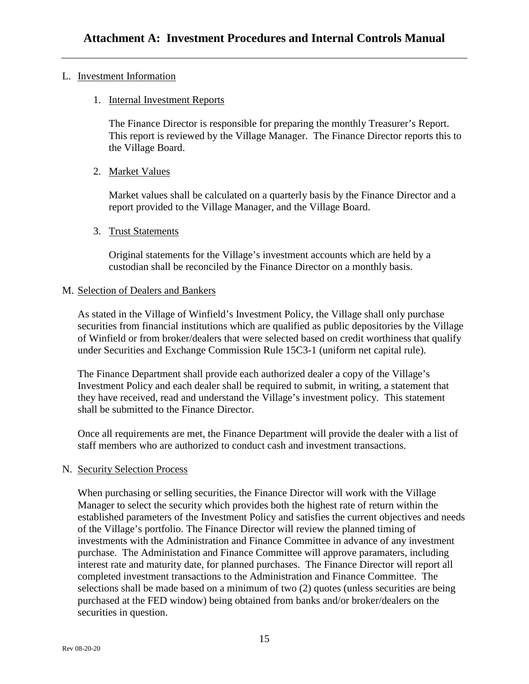#### L. Investment Information

1. Internal Investment Reports

The Finance Director is responsible for preparing the monthly Treasurer's Report. This report is reviewed by the Village Manager. The Finance Director reports this to the Village Board.

2. Market Values

Market values shall be calculated on a quarterly basis by the Finance Director and a report provided to the Village Manager, and the Village Board.

3. Trust Statements

Original statements for the Village's investment accounts which are held by a custodian shall be reconciled by the Finance Director on a monthly basis.

#### M. Selection of Dealers and Bankers

As stated in the Village of Winfield's Investment Policy, the Village shall only purchase securities from financial institutions which are qualified as public depositories by the Village of Winfield or from broker/dealers that were selected based on credit worthiness that qualify under Securities and Exchange Commission Rule 15C3-1 (uniform net capital rule).

The Finance Department shall provide each authorized dealer a copy of the Village's Investment Policy and each dealer shall be required to submit, in writing, a statement that they have received, read and understand the Village's investment policy. This statement shall be submitted to the Finance Director.

Once all requirements are met, the Finance Department will provide the dealer with a list of staff members who are authorized to conduct cash and investment transactions.

#### N. Security Selection Process

When purchasing or selling securities, the Finance Director will work with the Village Manager to select the security which provides both the highest rate of return within the established parameters of the Investment Policy and satisfies the current objectives and needs of the Village's portfolio. The Finance Director will review the planned timing of investments with the Administration and Finance Committee in advance of any investment purchase. The Administation and Finance Committee will approve paramaters, including interest rate and maturity date, for planned purchases. The Finance Director will report all completed investment transactions to the Administration and Finance Committee. The selections shall be made based on a minimum of two (2) quotes (unless securities are being purchased at the FED window) being obtained from banks and/or broker/dealers on the securities in question.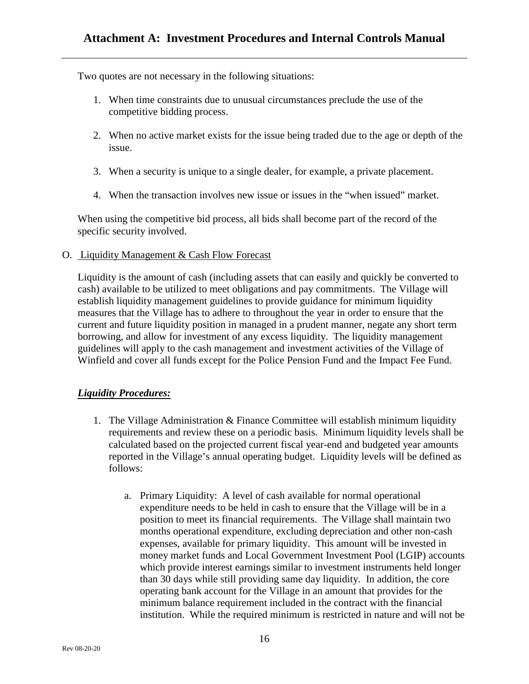Two quotes are not necessary in the following situations:

- 1. When time constraints due to unusual circumstances preclude the use of the competitive bidding process.
- 2. When no active market exists for the issue being traded due to the age or depth of the issue.
- 3. When a security is unique to a single dealer, for example, a private placement.
- 4. When the transaction involves new issue or issues in the "when issued" market.

When using the competitive bid process, all bids shall become part of the record of the specific security involved.

O. Liquidity Management & Cash Flow Forecast

Liquidity is the amount of cash (including assets that can easily and quickly be converted to cash) available to be utilized to meet obligations and pay commitments. The Village will establish liquidity management guidelines to provide guidance for minimum liquidity measures that the Village has to adhere to throughout the year in order to ensure that the current and future liquidity position in managed in a prudent manner, negate any short term borrowing, and allow for investment of any excess liquidity. The liquidity management guidelines will apply to the cash management and investment activities of the Village of Winfield and cover all funds except for the Police Pension Fund and the Impact Fee Fund.

## *Liquidity Procedures:*

- 1. The Village Administration & Finance Committee will establish minimum liquidity requirements and review these on a periodic basis. Minimum liquidity levels shall be calculated based on the projected current fiscal year-end and budgeted year amounts reported in the Village's annual operating budget. Liquidity levels will be defined as follows:
	- a. Primary Liquidity: A level of cash available for normal operational expenditure needs to be held in cash to ensure that the Village will be in a position to meet its financial requirements. The Village shall maintain two months operational expenditure, excluding depreciation and other non-cash expenses, available for primary liquidity. This amount will be invested in money market funds and Local Government Investment Pool (LGIP) accounts which provide interest earnings similar to investment instruments held longer than 30 days while still providing same day liquidity. In addition, the core operating bank account for the Village in an amount that provides for the minimum balance requirement included in the contract with the financial institution. While the required minimum is restricted in nature and will not be